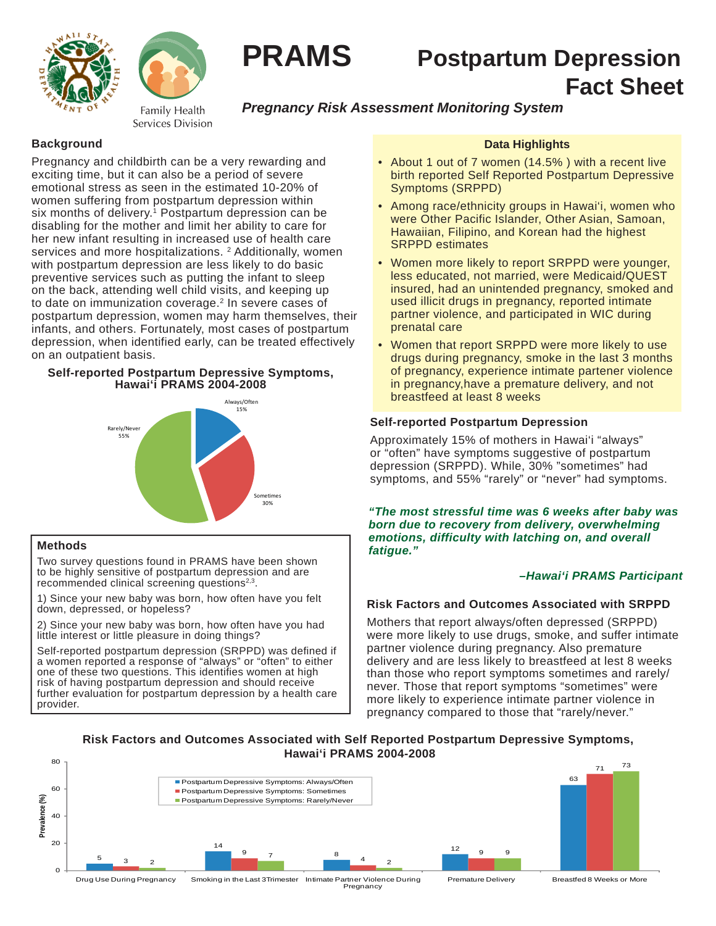



Family Health Services Division

# **PRAMS Postpartum Depression Fact Sheet**

# *Pregnancy Risk Assessment Monitoring System*

### **Background**

Pregnancy and childbirth can be a very rewarding and exciting time, but it can also be a period of severe emotional stress as seen in the estimated 10-20% of women suffering from postpartum depression within six months of delivery.<sup>1</sup> Postpartum depression can be disabling for the mother and limit her ability to care for her new infant resulting in increased use of health care services and more hospitalizations. <sup>2</sup> Additionally, women with postpartum depression are less likely to do basic preventive services such as putting the infant to sleep on the back, attending well child visits, and keeping up to date on immunization coverage.2 In severe cases of postpartum depression, women may harm themselves, their infants, and others. Fortunately, most cases of postpartum depression, when identified early, can be treated effectively on an outpatient basis.

#### **Self-reported Postpartum Depressive Symptoms, Hawai'i PRAMS 2004-2008**



#### **Methods**

Two survey questions found in PRAMS have been shown to be highly sensitive of postpartum depression and are recommended clinical screening questions<sup>2,3</sup>.

1) Since your new baby was born, how often have you felt down, depressed, or hopeless?

2) Since your new baby was born, how often have you had little interest or little pleasure in doing things?

Self-reported postpartum depression (SRPPD) was defined if a women reported a response of "always" or "often" to either one of these two questions. This identifies women at high risk of having postpartum depression and should receive further evaluation for postpartum depression by a health care provider.

### **Data Highlights**

- About 1 out of 7 women (14.5% ) with a recent live birth reported Self Reported Postpartum Depressive Symptoms (SRPPD)
- Among race/ethnicity groups in Hawai'i, women who were Other Pacific Islander, Other Asian, Samoan, Hawaiian, Filipino, and Korean had the highest SRPPD estimates
- Women more likely to report SRPPD were younger, less educated, not married, were Medicaid/QUEST insured, had an unintended pregnancy, smoked and used illicit drugs in pregnancy, reported intimate partner violence, and participated in WIC during prenatal care
- Women that report SRPPD were more likely to use drugs during pregnancy, smoke in the last 3 months of pregnancy, experience intimate partener violence in pregnancy,have a premature delivery, and not breastfeed at least 8 weeks

#### **Self-reported Postpartum Depression**

Approximately 15% of mothers in Hawai'i "always" or "often" have symptoms suggestive of postpartum depression (SRPPD). While, 30% "sometimes" had symptoms, and 55% "rarely" or "never" had symptoms.

*"The most stressful time was 6 weeks after baby was born due to recovery from delivery, overwhelming emotions, difficulty with latching on, and overall fatigue."* 

#### *–Hawai'i PRAMS Participant*

## **Risk Factors and Outcomes Associated with SRPPD**

Mothers that report always/often depressed (SRPPD) were more likely to use drugs, smoke, and suffer intimate partner violence during pregnancy. Also premature delivery and are less likely to breastfeed at lest 8 weeks than those who report symptoms sometimes and rarely/ never. Those that report symptoms "sometimes" were more likely to experience intimate partner violence in pregnancy compared to those that "rarely/never."

#### **Risk Factors and Outcomes Associated with Self Reported Postpartum Depressive Symptoms, Hawai'i PRAMS 2004-2008**



Drug Use During Pregnancy Smoking in the Last 3Trimester Intimate Partner Violence During Pregnancy